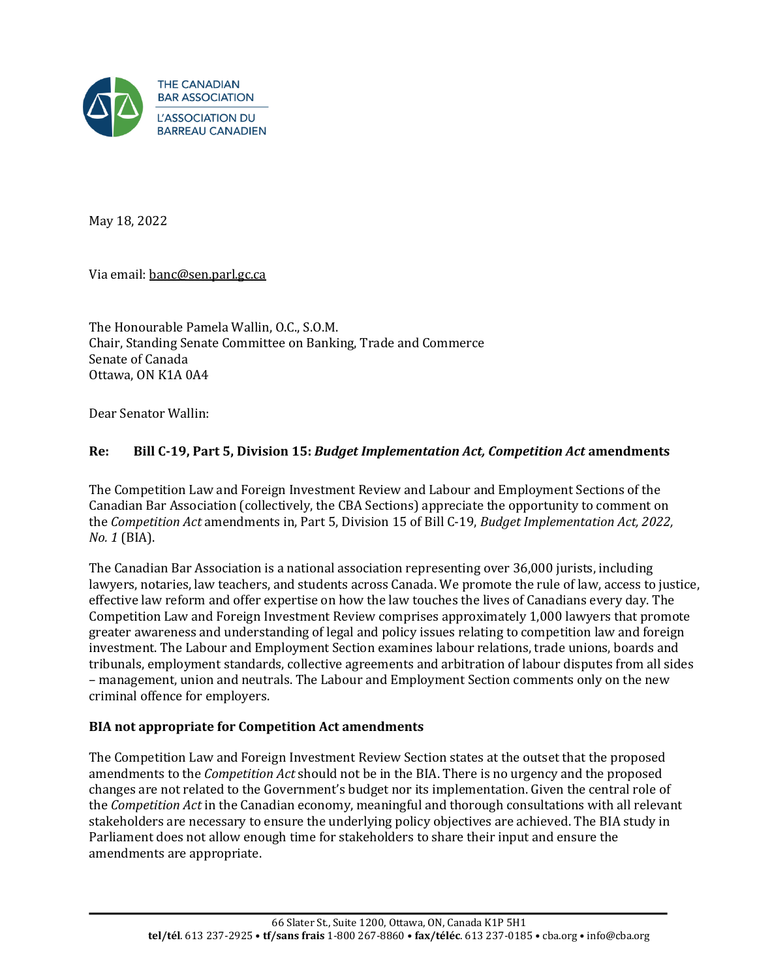

May 18, 2022

Via email: [banc@sen.parl.gc.ca](mailto:banc@sen.parl.gc.ca)

The Honourable Pamela Wallin, O.C., S.O.M. Chair, Standing Senate Committee on Banking, Trade and Commerce Senate of Canada Ottawa, ON K1A 0A4

Dear Senator Wallin:

## **Re: Bill C-19, Part 5, Division 15:** *Budget Implementation Act, Competition Act* **amendments**

The Competition Law and Foreign Investment Review and Labour and Employment Sections of the Canadian Bar Association (collectively, the CBA Sections) appreciate the opportunity to comment on the *Competition Act* amendments in, Part 5, Division 15 of Bill C-19, *Budget Implementation Act, 2022, No. 1* (BIA).

The Canadian Bar Association is a national association representing over 36,000 jurists, including lawyers, notaries, law teachers, and students across Canada. We promote the rule of law, access to justice, effective law reform and offer expertise on how the law touches the lives of Canadians every day. The Competition Law and Foreign Investment Review comprises approximately 1,000 lawyers that promote greater awareness and understanding of legal and policy issues relating to competition law and foreign investment. The Labour and Employment Section examines labour relations, trade unions, boards and tribunals, employment standards, collective agreements and arbitration of labour disputes from all sides – management, union and neutrals. The Labour and Employment Section comments only on the new criminal offence for employers.

### **BIA not appropriate for Competition Act amendments**

The Competition Law and Foreign Investment Review Section states at the outset that the proposed amendments to the *Competition Act* should not be in the BIA. There is no urgency and the proposed changes are not related to the Government's budget nor its implementation. Given the central role of the *Competition Act* in the Canadian economy, meaningful and thorough consultations with all relevant stakeholders are necessary to ensure the underlying policy objectives are achieved. The BIA study in Parliament does not allow enough time for stakeholders to share their input and ensure the amendments are appropriate.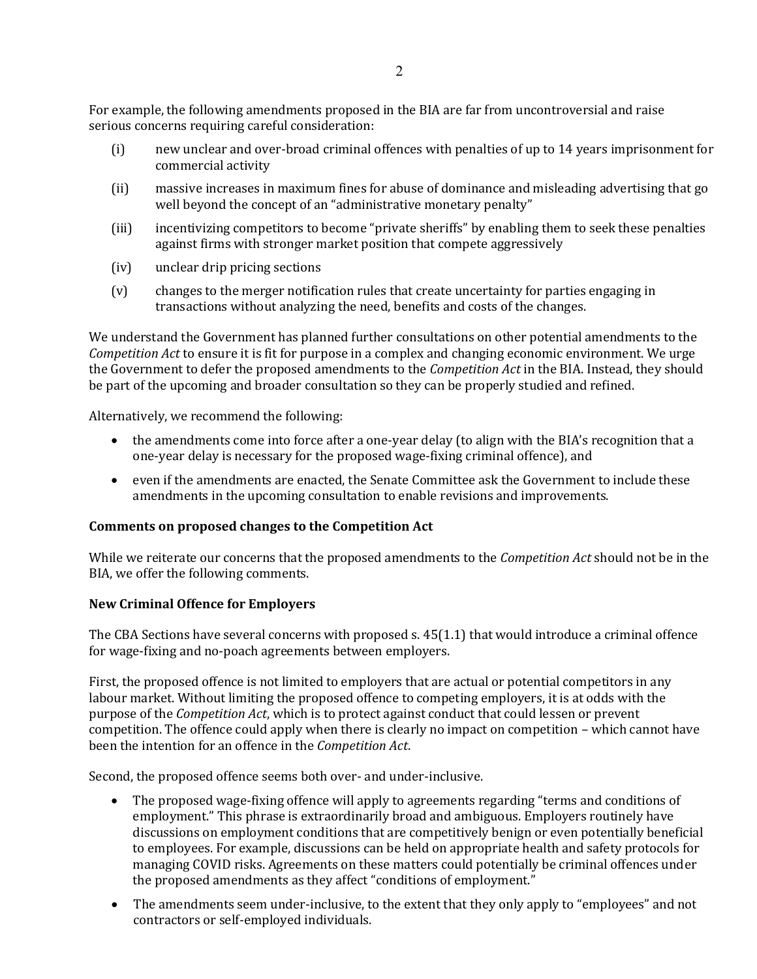For example, the following amendments proposed in the BIA are far from uncontroversial and raise serious concerns requiring careful consideration:

- (i) new unclear and over-broad criminal offences with penalties of up to 14 years imprisonment for commercial activity
- (ii) massive increases in maximum fines for abuse of dominance and misleading advertising that go well beyond the concept of an "administrative monetary penalty"
- (iii) incentivizing competitors to become "private sheriffs" by enabling them to seek these penalties against firms with stronger market position that compete aggressively
- (iv) unclear drip pricing sections
- (v) changes to the merger notification rules that create uncertainty for parties engaging in transactions without analyzing the need, benefits and costs of the changes.

We understand the Government has planned further consultations on other potential amendments to the *Competition Act* to ensure it is fit for purpose in a complex and changing economic environment. We urge the Government to defer the proposed amendments to the *Competition Act* in the BIA. Instead, they should be part of the upcoming and broader consultation so they can be properly studied and refined.

Alternatively, we recommend the following:

- the amendments come into force after a one-year delay (to align with the BIA's recognition that a one-year delay is necessary for the proposed wage-fixing criminal offence), and
- even if the amendments are enacted, the Senate Committee ask the Government to include these amendments in the upcoming consultation to enable revisions and improvements.

## **Comments on proposed changes to the Competition Act**

While we reiterate our concerns that the proposed amendments to the *Competition Act* should not be in the BIA, we offer the following comments.

## **New Criminal Offence for Employers**

The CBA Sections have several concerns with proposed s. 45(1.1) that would introduce a criminal offence for wage-fixing and no-poach agreements between employers.

First, the proposed offence is not limited to employers that are actual or potential competitors in any labour market. Without limiting the proposed offence to competing employers, it is at odds with the purpose of the *Competition Act*, which is to protect against conduct that could lessen or prevent competition. The offence could apply when there is clearly no impact on competition – which cannot have been the intention for an offence in the *Competition Act*.

Second, the proposed offence seems both over- and under-inclusive.

- The proposed wage-fixing offence will apply to agreements regarding "terms and conditions of employment." This phrase is extraordinarily broad and ambiguous. Employers routinely have discussions on employment conditions that are competitively benign or even potentially beneficial to employees. For example, discussions can be held on appropriate health and safety protocols for managing COVID risks. Agreements on these matters could potentially be criminal offences under the proposed amendments as they affect "conditions of employment."
- The amendments seem under-inclusive, to the extent that they only apply to "employees" and not contractors or self-employed individuals.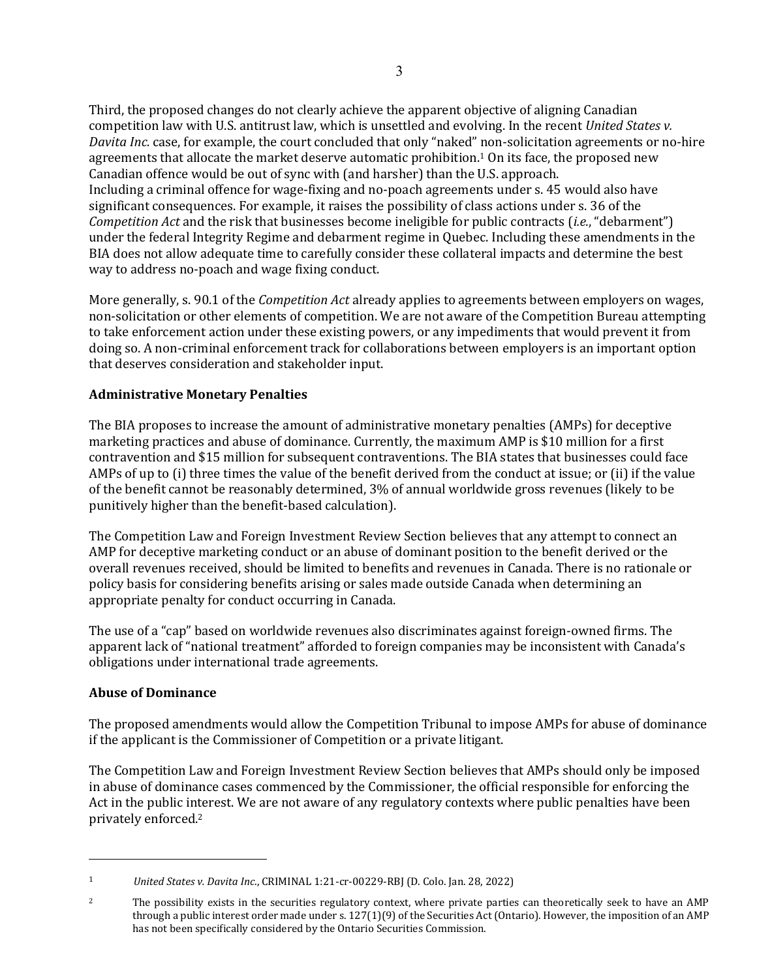Third, the proposed changes do not clearly achieve the apparent objective of aligning Canadian competition law with U.S. antitrust law, which is unsettled and evolving. In the recent *United States v. Davita Inc.* case, for example, the court concluded that only "naked" non-solicitation agreements or no-hire agreements that allocate the market deserve automatic prohibition.<sup>1</sup> On its face, the proposed new Canadian offence would be out of sync with (and harsher) than the U.S. approach. Including a criminal offence for wage-fixing and no-poach agreements under s. 45 would also have significant consequences. For example, it raises the possibility of class actions under s. 36 of the *Competition Act* and the risk that businesses become ineligible for public contracts (*i.e.*, "debarment") under the federal Integrity Regime and debarment regime in Quebec. Including these amendments in the BIA does not allow adequate time to carefully consider these collateral impacts and determine the best way to address no-poach and wage fixing conduct.

More generally, s. 90.1 of the *Competition Act* already applies to agreements between employers on wages, non-solicitation or other elements of competition. We are not aware of the Competition Bureau attempting to take enforcement action under these existing powers, or any impediments that would prevent it from doing so. A non-criminal enforcement track for collaborations between employers is an important option that deserves consideration and stakeholder input.

# **Administrative Monetary Penalties**

The BIA proposes to increase the amount of administrative monetary penalties (AMPs) for deceptive marketing practices and abuse of dominance. Currently, the maximum AMP is \$10 million for a first contravention and \$15 million for subsequent contraventions. The BIA states that businesses could face AMPs of up to (i) three times the value of the benefit derived from the conduct at issue; or (ii) if the value of the benefit cannot be reasonably determined, 3% of annual worldwide gross revenues (likely to be punitively higher than the benefit-based calculation).

The Competition Law and Foreign Investment Review Section believes that any attempt to connect an AMP for deceptive marketing conduct or an abuse of dominant position to the benefit derived or the overall revenues received, should be limited to benefits and revenues in Canada. There is no rationale or policy basis for considering benefits arising or sales made outside Canada when determining an appropriate penalty for conduct occurring in Canada.

The use of a "cap" based on worldwide revenues also discriminates against foreign-owned firms. The apparent lack of "national treatment" afforded to foreign companies may be inconsistent with Canada's obligations under international trade agreements.

## **Abuse of Dominance**

The proposed amendments would allow the Competition Tribunal to impose AMPs for abuse of dominance if the applicant is the Commissioner of Competition or a private litigant.

The Competition Law and Foreign Investment Review Section believes that AMPs should only be imposed in abuse of dominance cases commenced by the Commissioner, the official responsible for enforcing the Act in the public interest. We are not aware of any regulatory contexts where public penalties have been privately enforced.<sup>2</sup>

<sup>1</sup> *United States v. Davita Inc*., CRIMINAL 1:21-cr-00229-RBJ (D. Colo. Jan. 28, 2022)

<sup>&</sup>lt;sup>2</sup> The possibility exists in the securities regulatory context, where private parties can theoretically seek to have an AMP through a public interest order made under s.  $127(1)(9)$  of the Securities Act (Ontario). However, the imposition of an AMP has not been specifically considered by the Ontario Securities Commission.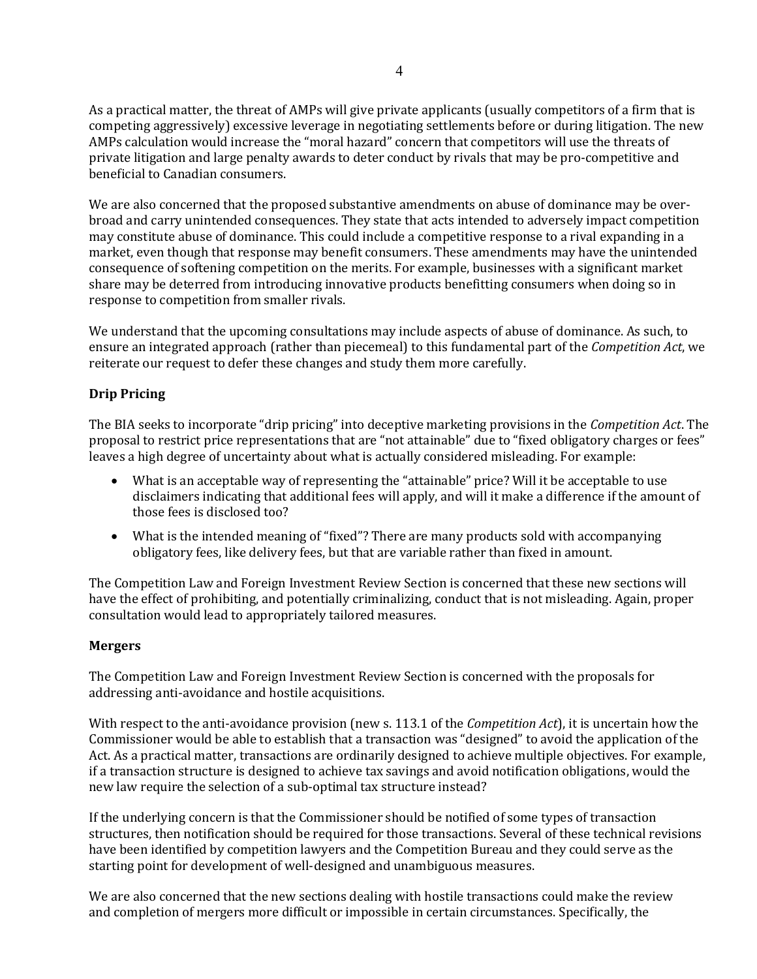As a practical matter, the threat of AMPs will give private applicants (usually competitors of a firm that is competing aggressively) excessive leverage in negotiating settlements before or during litigation. The new AMPs calculation would increase the "moral hazard" concern that competitors will use the threats of private litigation and large penalty awards to deter conduct by rivals that may be pro-competitive and beneficial to Canadian consumers.

We are also concerned that the proposed substantive amendments on abuse of dominance may be overbroad and carry unintended consequences. They state that acts intended to adversely impact competition may constitute abuse of dominance. This could include a competitive response to a rival expanding in a market, even though that response may benefit consumers. These amendments may have the unintended consequence of softening competition on the merits. For example, businesses with a significant market share may be deterred from introducing innovative products benefitting consumers when doing so in response to competition from smaller rivals.

We understand that the upcoming consultations may include aspects of abuse of dominance. As such, to ensure an integrated approach (rather than piecemeal) to this fundamental part of the *Competition Act*, we reiterate our request to defer these changes and study them more carefully.

# **Drip Pricing**

The BIA seeks to incorporate "drip pricing" into deceptive marketing provisions in the *Competition Act*. The proposal to restrict price representations that are "not attainable" due to "fixed obligatory charges or fees" leaves a high degree of uncertainty about what is actually considered misleading. For example:

- What is an acceptable way of representing the "attainable" price? Will it be acceptable to use disclaimers indicating that additional fees will apply, and will it make a difference if the amount of those fees is disclosed too?
- What is the intended meaning of "fixed"? There are many products sold with accompanying obligatory fees, like delivery fees, but that are variable rather than fixed in amount.

The Competition Law and Foreign Investment Review Section is concerned that these new sections will have the effect of prohibiting, and potentially criminalizing, conduct that is not misleading. Again, proper consultation would lead to appropriately tailored measures.

## **Mergers**

The Competition Law and Foreign Investment Review Section is concerned with the proposals for addressing anti-avoidance and hostile acquisitions.

With respect to the anti-avoidance provision (new s. 113.1 of the *Competition Act*), it is uncertain how the Commissioner would be able to establish that a transaction was "designed" to avoid the application of the Act. As a practical matter, transactions are ordinarily designed to achieve multiple objectives. For example, if a transaction structure is designed to achieve tax savings and avoid notification obligations, would the new law require the selection of a sub-optimal tax structure instead?

If the underlying concern is that the Commissioner should be notified of some types of transaction structures, then notification should be required for those transactions. Several of these technical revisions have been identified by competition lawyers and the Competition Bureau and they could serve as the starting point for development of well-designed and unambiguous measures.

We are also concerned that the new sections dealing with hostile transactions could make the review and completion of mergers more difficult or impossible in certain circumstances. Specifically, the